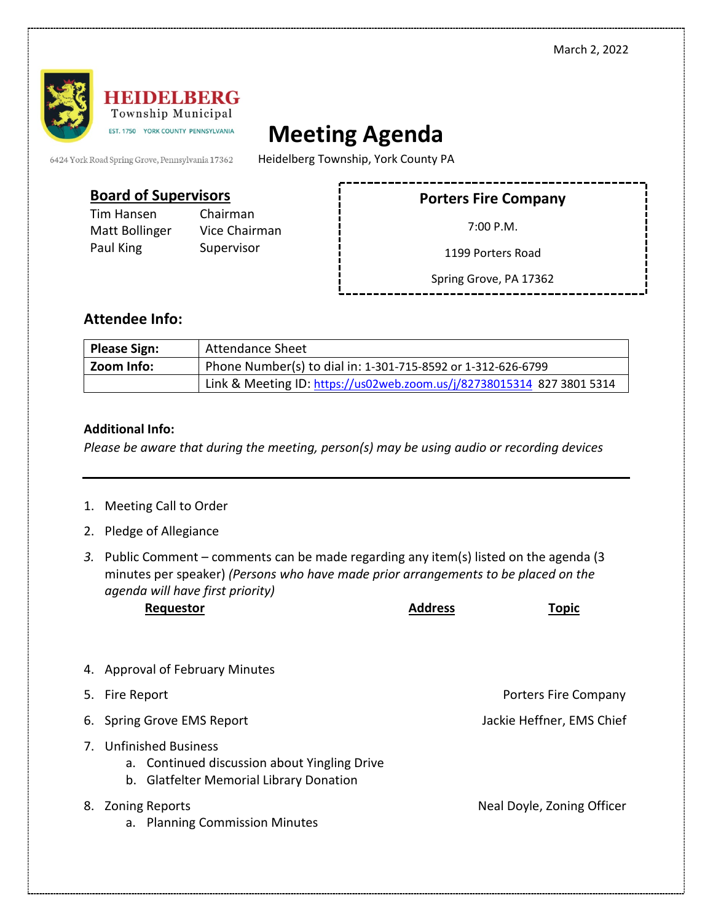

## **Meeting Agenda**

6424 York Road Spring Grove, Pennsylvania 17362

Heidelberg Township, York County PA

## **Board of Supervisors**

Tim Hansen Chairman Paul King Supervisor

Matt Bollinger Vice Chairman

**Porters Fire Company**

7:00 P.M.

1199 Porters Road

Spring Grove, PA 17362

## **Attendee Info:**

| <b>Please Sign:</b> | <b>Attendance Sheet</b>                                                |  |
|---------------------|------------------------------------------------------------------------|--|
| Zoom Info:          | Phone Number(s) to dial in: 1-301-715-8592 or 1-312-626-6799           |  |
|                     | Link & Meeting ID: https://us02web.zoom.us/j/82738015314 827 3801 5314 |  |

## **Additional Info:**

*Please be aware that during the meeting, person(s) may be using audio or recording devices*

- 1. Meeting Call to Order
- 2. Pledge of Allegiance
- *3.* Public Comment comments can be made regarding any item(s) listed on the agenda (3 minutes per speaker) *(Persons who have made prior arrangements to be placed on the agenda will have first priority)*

| Requestor | <b>Address</b> | <b>Горіс</b> |
|-----------|----------------|--------------|
|           |                |              |

- 4. Approval of February Minutes
- 5. Fire Report Porters Fire Company
- 6. Spring Grove EMS Report **Jackie Heffner**, EMS Chief
- 7. Unfinished Business
	- a. Continued discussion about Yingling Drive
	- b. Glatfelter Memorial Library Donation
- 8. Zoning Reports **Neal Doyle, Zoning Officer** 
	- a. Planning Commission Minutes